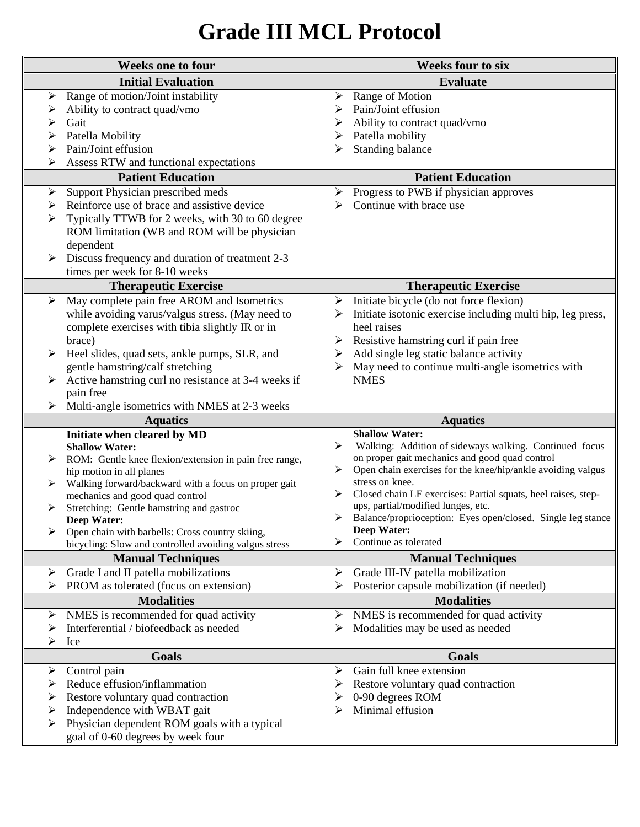## **Grade III MCL Protocol**

| <b>Weeks one to four</b>        |                                                                                                                                                                                                                                                                                                                                                                                                                     | <b>Weeks four to six</b>                                                                                                                                                                                                                                                                                                                                                                                                                                     |
|---------------------------------|---------------------------------------------------------------------------------------------------------------------------------------------------------------------------------------------------------------------------------------------------------------------------------------------------------------------------------------------------------------------------------------------------------------------|--------------------------------------------------------------------------------------------------------------------------------------------------------------------------------------------------------------------------------------------------------------------------------------------------------------------------------------------------------------------------------------------------------------------------------------------------------------|
|                                 | <b>Initial Evaluation</b>                                                                                                                                                                                                                                                                                                                                                                                           | <b>Evaluate</b>                                                                                                                                                                                                                                                                                                                                                                                                                                              |
| ➤<br>➤<br>➤                     | Range of motion/Joint instability<br>Ability to contract quad/vmo<br>Gait<br>Patella Mobility<br>Pain/Joint effusion                                                                                                                                                                                                                                                                                                | Range of Motion<br>➤<br>Pain/Joint effusion<br>⋗<br>Ability to contract quad/vmo<br>Patella mobility<br>≻<br>Standing balance<br>≻                                                                                                                                                                                                                                                                                                                           |
|                                 | Assess RTW and functional expectations                                                                                                                                                                                                                                                                                                                                                                              |                                                                                                                                                                                                                                                                                                                                                                                                                                                              |
|                                 | <b>Patient Education</b>                                                                                                                                                                                                                                                                                                                                                                                            | <b>Patient Education</b>                                                                                                                                                                                                                                                                                                                                                                                                                                     |
| $\blacktriangleright$<br>➤<br>➤ | Support Physician prescribed meds<br>Reinforce use of brace and assistive device<br>Typically TTWB for 2 weeks, with 30 to 60 degree<br>ROM limitation (WB and ROM will be physician<br>dependent<br>Discuss frequency and duration of treatment 2-3<br>times per week for 8-10 weeks                                                                                                                               | Progress to PWB if physician approves<br>➤<br>Continue with brace use<br>⋗                                                                                                                                                                                                                                                                                                                                                                                   |
|                                 | <b>Therapeutic Exercise</b>                                                                                                                                                                                                                                                                                                                                                                                         | <b>Therapeutic Exercise</b>                                                                                                                                                                                                                                                                                                                                                                                                                                  |
| ➤<br>↘                          | May complete pain free AROM and Isometrics<br>while avoiding varus/valgus stress. (May need to<br>complete exercises with tibia slightly IR or in<br>brace)<br>Heel slides, quad sets, ankle pumps, SLR, and<br>gentle hamstring/calf stretching<br>Active hamstring curl no resistance at 3-4 weeks if<br>pain free<br>Multi-angle isometrics with NMES at 2-3 weeks                                               | Initiate bicycle (do not force flexion)<br>➤<br>Initiate isotonic exercise including multi hip, leg press,<br>➤<br>heel raises<br>Resistive hamstring curl if pain free<br>➤<br>Add single leg static balance activity<br>➤<br>May need to continue multi-angle isometrics with<br>➤<br><b>NMES</b>                                                                                                                                                          |
|                                 | <b>Aquatics</b>                                                                                                                                                                                                                                                                                                                                                                                                     | <b>Aquatics</b>                                                                                                                                                                                                                                                                                                                                                                                                                                              |
| ➤<br>➤<br>➤                     | Initiate when cleared by MD<br><b>Shallow Water:</b><br>ROM: Gentle knee flexion/extension in pain free range,<br>hip motion in all planes<br>Walking forward/backward with a focus on proper gait<br>mechanics and good quad control<br>Stretching: Gentle hamstring and gastroc<br><b>Deep Water:</b><br>Open chain with barbells: Cross country skiing,<br>bicycling: Slow and controlled avoiding valgus stress | <b>Shallow Water:</b><br>Walking: Addition of sideways walking. Continued focus<br>≻<br>on proper gait mechanics and good quad control<br>Open chain exercises for the knee/hip/ankle avoiding valgus<br>➤<br>stress on knee.<br>Closed chain LE exercises: Partial squats, heel raises, step-<br>ups, partial/modified lunges, etc.<br>Balance/proprioception: Eyes open/closed. Single leg stance<br>➤<br><b>Deep Water:</b><br>Continue as tolerated<br>⋗ |
|                                 | <b>Manual Techniques</b>                                                                                                                                                                                                                                                                                                                                                                                            | <b>Manual Techniques</b>                                                                                                                                                                                                                                                                                                                                                                                                                                     |
| ➤<br>⋗                          | Grade I and II patella mobilizations<br>PROM as tolerated (focus on extension)                                                                                                                                                                                                                                                                                                                                      | Grade III-IV patella mobilization<br>➤<br>Posterior capsule mobilization (if needed)<br>⋗                                                                                                                                                                                                                                                                                                                                                                    |
|                                 | <b>Modalities</b>                                                                                                                                                                                                                                                                                                                                                                                                   | <b>Modalities</b>                                                                                                                                                                                                                                                                                                                                                                                                                                            |
| ➤<br>➤<br>⋗                     | NMES is recommended for quad activity<br>Interferential / biofeedback as needed<br>Ice                                                                                                                                                                                                                                                                                                                              | NMES is recommended for quad activity<br>➤<br>Modalities may be used as needed<br>➤                                                                                                                                                                                                                                                                                                                                                                          |
|                                 | <b>Goals</b>                                                                                                                                                                                                                                                                                                                                                                                                        | <b>Goals</b>                                                                                                                                                                                                                                                                                                                                                                                                                                                 |
| ➤<br>➤<br>➤<br>➤<br>≻           | Control pain<br>Reduce effusion/inflammation<br>Restore voluntary quad contraction<br>Independence with WBAT gait<br>Physician dependent ROM goals with a typical<br>goal of 0-60 degrees by week four                                                                                                                                                                                                              | Gain full knee extension<br>➤<br>Restore voluntary quad contraction<br>0-90 degrees ROM<br>Minimal effusion                                                                                                                                                                                                                                                                                                                                                  |